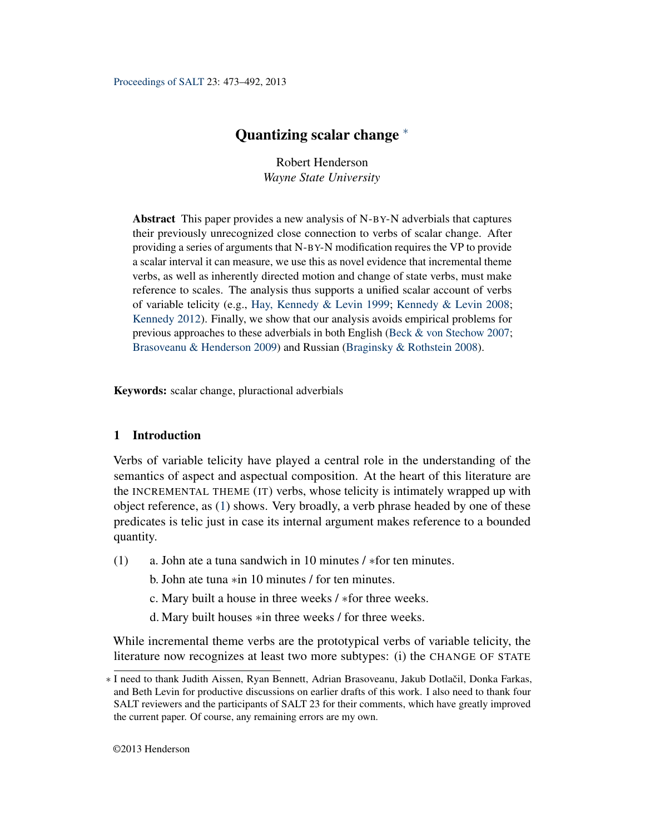<span id="page-0-1"></span>[Proceedings of SALT](http://elanguage.net/journals/index.php/salt) 23: 473–492, 2013

# Quantizing scalar change <sup>\*</sup>

Robert Henderson *Wayne State University*

Abstract This paper provides a new analysis of N-BY-N adverbials that captures their previously unrecognized close connection to verbs of scalar change. After providing a series of arguments that N-BY-N modification requires the VP to provide a scalar interval it can measure, we use this as novel evidence that incremental theme verbs, as well as inherently directed motion and change of state verbs, must make reference to scales. The analysis thus supports a unified scalar account of verbs of variable telicity (e.g., [Hay, Kennedy & Levin](#page-18-0) [1999;](#page-18-0) [Kennedy & Levin](#page-18-1) [2008;](#page-18-1) [Kennedy](#page-18-2) [2012\)](#page-18-2). Finally, we show that our analysis avoids empirical problems for previous approaches to these adverbials in both English [\(Beck & von Stechow](#page-18-3) [2007;](#page-18-3) [Brasoveanu & Henderson](#page-18-4) [2009\)](#page-18-4) and Russian [\(Braginsky & Rothstein](#page-18-5) [2008\)](#page-18-5).

Keywords: scalar change, pluractional adverbials

# 1 Introduction

Verbs of variable telicity have played a central role in the understanding of the semantics of aspect and aspectual composition. At the heart of this literature are the INCREMENTAL THEME (IT) verbs, whose telicity is intimately wrapped up with object reference, as [\(1\)](#page-0-0) shows. Very broadly, a verb phrase headed by one of these predicates is telic just in case its internal argument makes reference to a bounded quantity.

- <span id="page-0-0"></span>(1) a. John ate a tuna sandwich in 10 minutes / ∗for ten minutes.
	- b. John ate tuna ∗in 10 minutes / for ten minutes.
	- c. Mary built a house in three weeks / ∗for three weeks.
	- d. Mary built houses ∗in three weeks / for three weeks.

While incremental theme verbs are the prototypical verbs of variable telicity, the literature now recognizes at least two more subtypes: (i) the CHANGE OF STATE

<sup>∗</sup> I need to thank Judith Aissen, Ryan Bennett, Adrian Brasoveanu, Jakub Dotlacil, Donka Farkas, ˇ and Beth Levin for productive discussions on earlier drafts of this work. I also need to thank four SALT reviewers and the participants of SALT 23 for their comments, which have greatly improved the current paper. Of course, any remaining errors are my own.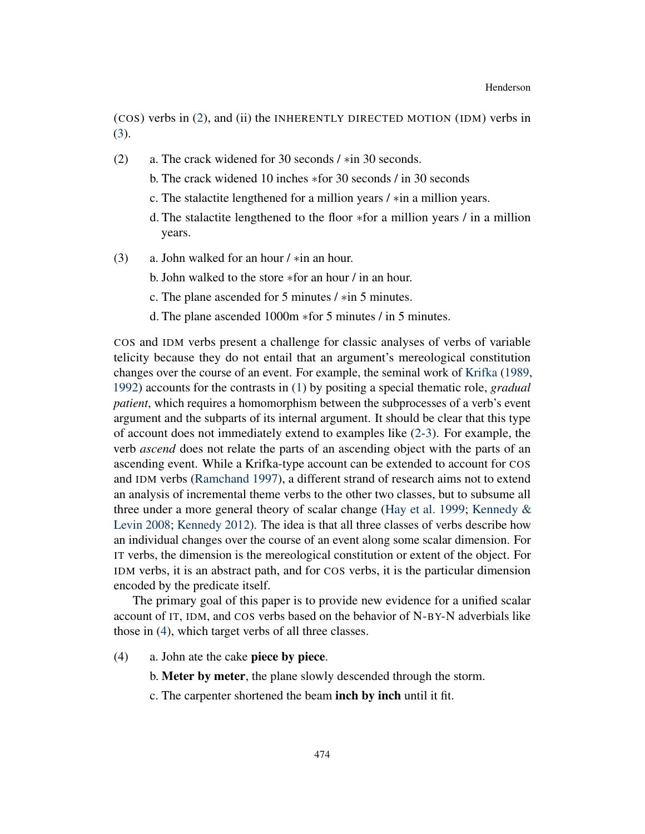(COS) verbs in [\(2\)](#page-1-0), and (ii) the INHERENTLY DIRECTED MOTION (IDM) verbs in [\(3\)](#page-1-1).

- <span id="page-1-0"></span>(2) a. The crack widened for 30 seconds / ∗in 30 seconds.
	- b. The crack widened 10 inches ∗for 30 seconds / in 30 seconds
	- c. The stalactite lengthened for a million years / ∗in a million years.
	- d. The stalactite lengthened to the floor ∗for a million years / in a million years.
- <span id="page-1-1"></span>(3) a. John walked for an hour / ∗in an hour.
	- b. John walked to the store ∗for an hour / in an hour.
	- c. The plane ascended for 5 minutes / ∗in 5 minutes.
	- d. The plane ascended 1000m ∗for 5 minutes / in 5 minutes.

COS and IDM verbs present a challenge for classic analyses of verbs of variable telicity because they do not entail that an argument's mereological constitution changes over the course of an event. For example, the seminal work of [Krifka](#page-18-6) [\(1989,](#page-18-6) [1992\)](#page-18-7) accounts for the contrasts in [\(1\)](#page-0-0) by positing a special thematic role, *gradual patient*, which requires a homomorphism between the subprocesses of a verb's event argument and the subparts of its internal argument. It should be clear that this type of account does not immediately extend to examples like [\(2](#page-1-0)[-3\)](#page-1-1). For example, the verb *ascend* does not relate the parts of an ascending object with the parts of an ascending event. While a Krifka-type account can be extended to account for COS and IDM verbs [\(Ramchand](#page-19-0) [1997\)](#page-19-0), a different strand of research aims not to extend an analysis of incremental theme verbs to the other two classes, but to subsume all three under a more general theory of scalar change [\(Hay et al.](#page-18-0) [1999;](#page-18-0) [Kennedy &](#page-18-1) [Levin](#page-18-1) [2008;](#page-18-1) [Kennedy](#page-18-2) [2012\)](#page-18-2). The idea is that all three classes of verbs describe how an individual changes over the course of an event along some scalar dimension. For IT verbs, the dimension is the mereological constitution or extent of the object. For IDM verbs, it is an abstract path, and for COS verbs, it is the particular dimension encoded by the predicate itself.

The primary goal of this paper is to provide new evidence for a unified scalar account of IT, IDM, and COS verbs based on the behavior of N-BY-N adverbials like those in [\(4\)](#page-1-2), which target verbs of all three classes.

- <span id="page-1-4"></span><span id="page-1-3"></span><span id="page-1-2"></span>(4) a. John ate the cake piece by piece.
	- b. Meter by meter, the plane slowly descended through the storm.
	- c. The carpenter shortened the beam inch by inch until it fit.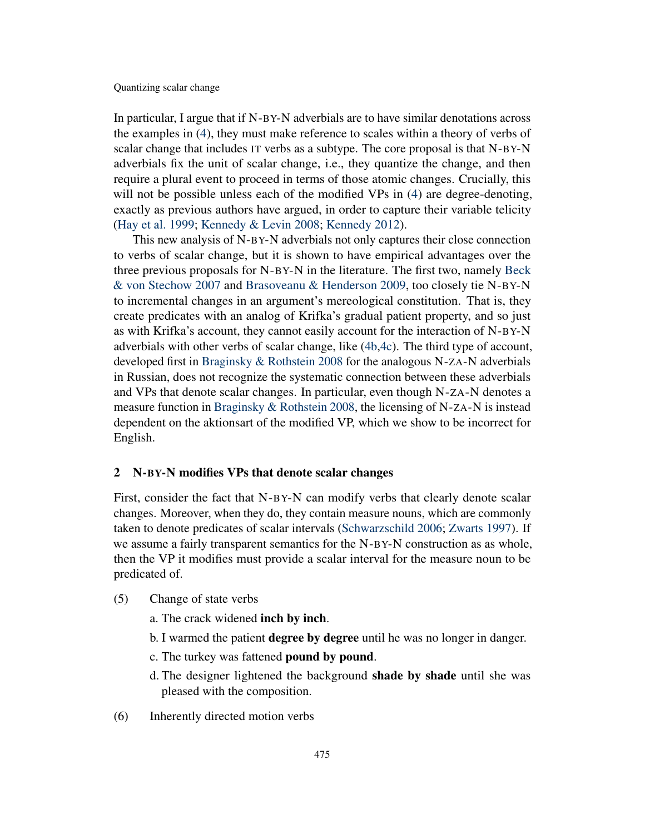In particular, I argue that if N-BY-N adverbials are to have similar denotations across the examples in [\(4\)](#page-1-2), they must make reference to scales within a theory of verbs of scalar change that includes IT verbs as a subtype. The core proposal is that N-BY-N adverbials fix the unit of scalar change, i.e., they quantize the change, and then require a plural event to proceed in terms of those atomic changes. Crucially, this will not be possible unless each of the modified VPs in [\(4\)](#page-1-2) are degree-denoting, exactly as previous authors have argued, in order to capture their variable telicity [\(Hay et al.](#page-18-0) [1999;](#page-18-0) [Kennedy & Levin](#page-18-1) [2008;](#page-18-1) [Kennedy](#page-18-2) [2012\)](#page-18-2).

This new analysis of N-BY-N adverbials not only captures their close connection to verbs of scalar change, but it is shown to have empirical advantages over the three previous proposals for N-BY-N in the literature. The first two, namely [Beck](#page-18-3) [& von Stechow](#page-18-3) [2007](#page-18-3) and [Brasoveanu & Henderson](#page-18-4) [2009,](#page-18-4) too closely tie N-BY-N to incremental changes in an argument's mereological constitution. That is, they create predicates with an analog of Krifka's gradual patient property, and so just as with Krifka's account, they cannot easily account for the interaction of N-BY-N adverbials with other verbs of scalar change, like [\(4b](#page-1-3)[,4c\)](#page-1-4). The third type of account, developed first in [Braginsky & Rothstein](#page-18-5) [2008](#page-18-5) for the analogous N-ZA-N adverbials in Russian, does not recognize the systematic connection between these adverbials and VPs that denote scalar changes. In particular, even though N-ZA-N denotes a measure function in [Braginsky & Rothstein](#page-18-5) [2008,](#page-18-5) the licensing of N-ZA-N is instead dependent on the aktionsart of the modified VP, which we show to be incorrect for English.

#### <span id="page-2-2"></span>2 N-BY-N modifies VPs that denote scalar changes

First, consider the fact that N-BY-N can modify verbs that clearly denote scalar changes. Moreover, when they do, they contain measure nouns, which are commonly taken to denote predicates of scalar intervals [\(Schwarzschild](#page-19-1) [2006;](#page-19-1) [Zwarts](#page-19-2) [1997\)](#page-19-2). If we assume a fairly transparent semantics for the N-BY-N construction as as whole, then the VP it modifies must provide a scalar interval for the measure noun to be predicated of.

- <span id="page-2-0"></span>(5) Change of state verbs
	- a. The crack widened inch by inch.
	- b. I warmed the patient **degree by degree** until he was no longer in danger.
	- c. The turkey was fattened **pound by pound**.
	- d. The designer lightened the background **shade by shade** until she was pleased with the composition.
- <span id="page-2-1"></span>(6) Inherently directed motion verbs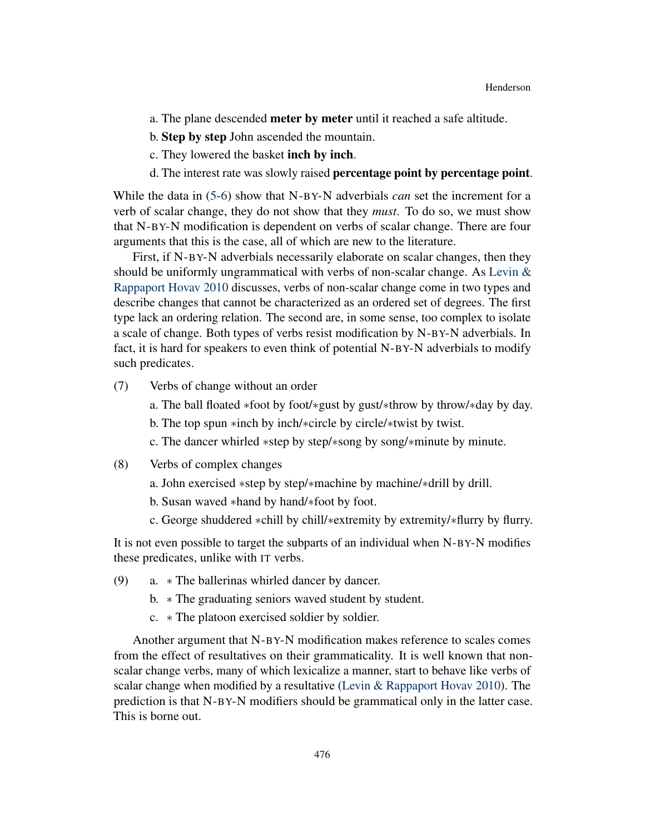- a. The plane descended meter by meter until it reached a safe altitude.
- b. Step by step John ascended the mountain.
- c. They lowered the basket inch by inch.
- d. The interest rate was slowly raised **percentage point** by **percentage point**.

While the data in [\(5-](#page-2-0)[6\)](#page-2-1) show that N-BY-N adverbials *can* set the increment for a verb of scalar change, they do not show that they *must*. To do so, we must show that N-BY-N modification is dependent on verbs of scalar change. There are four arguments that this is the case, all of which are new to the literature.

First, if N-BY-N adverbials necessarily elaborate on scalar changes, then they should be uniformly ungrammatical with verbs of non-scalar change. As [Levin &](#page-18-8) [Rappaport Hovav](#page-18-8) [2010](#page-18-8) discusses, verbs of non-scalar change come in two types and describe changes that cannot be characterized as an ordered set of degrees. The first type lack an ordering relation. The second are, in some sense, too complex to isolate a scale of change. Both types of verbs resist modification by N-BY-N adverbials. In fact, it is hard for speakers to even think of potential N-BY-N adverbials to modify such predicates.

- (7) Verbs of change without an order
	- a. The ball floated ∗foot by foot/∗gust by gust/∗throw by throw/∗day by day.
	- b. The top spun ∗inch by inch/∗circle by circle/∗twist by twist.
	- c. The dancer whirled ∗step by step/∗song by song/∗minute by minute.
- (8) Verbs of complex changes
	- a. John exercised ∗step by step/∗machine by machine/∗drill by drill.
	- b. Susan waved ∗hand by hand/∗foot by foot.
	- c. George shuddered ∗chill by chill/∗extremity by extremity/∗flurry by flurry.

It is not even possible to target the subparts of an individual when N-BY-N modifies these predicates, unlike with IT verbs.

- <span id="page-3-0"></span>(9) a. ∗ The ballerinas whirled dancer by dancer.
	- b. ∗ The graduating seniors waved student by student.
	- c. ∗ The platoon exercised soldier by soldier.

Another argument that N-BY-N modification makes reference to scales comes from the effect of resultatives on their grammaticality. It is well known that nonscalar change verbs, many of which lexicalize a manner, start to behave like verbs of scalar change when modified by a resultative [\(Levin & Rappaport Hovav](#page-18-8) [2010\)](#page-18-8). The prediction is that N-BY-N modifiers should be grammatical only in the latter case. This is borne out.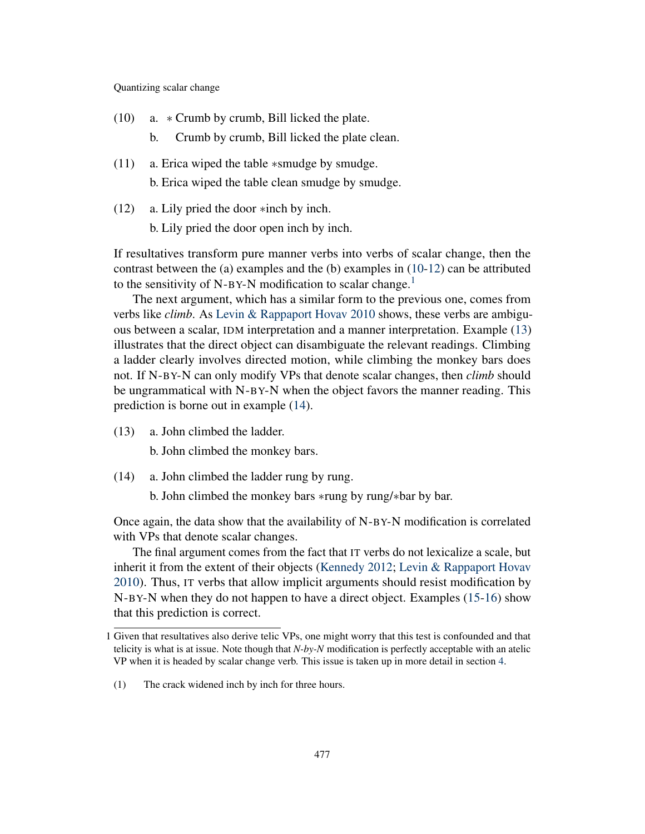- <span id="page-4-0"></span>(10) a. ∗ Crumb by crumb, Bill licked the plate.
	- b. Crumb by crumb, Bill licked the plate clean.
- (11) a. Erica wiped the table ∗smudge by smudge. b. Erica wiped the table clean smudge by smudge.
- <span id="page-4-1"></span>(12) a. Lily pried the door ∗inch by inch.

b. Lily pried the door open inch by inch.

If resultatives transform pure manner verbs into verbs of scalar change, then the contrast between the (a) examples and the (b) examples in [\(10](#page-4-0)[-12\)](#page-4-1) can be attributed to the sensitivity of N-BY-N modification to scalar change.<sup>[1](#page-0-1)</sup>

The next argument, which has a similar form to the previous one, comes from verbs like *climb*. As [Levin & Rappaport Hovav](#page-18-8) [2010](#page-18-8) shows, these verbs are ambiguous between a scalar, IDM interpretation and a manner interpretation. Example [\(13\)](#page-4-2) illustrates that the direct object can disambiguate the relevant readings. Climbing a ladder clearly involves directed motion, while climbing the monkey bars does not. If N-BY-N can only modify VPs that denote scalar changes, then *climb* should be ungrammatical with N-BY-N when the object favors the manner reading. This prediction is borne out in example [\(14\)](#page-4-3).

<span id="page-4-2"></span>(13) a. John climbed the ladder.

b. John climbed the monkey bars.

- <span id="page-4-3"></span>(14) a. John climbed the ladder rung by rung.
	- b. John climbed the monkey bars ∗rung by rung/∗bar by bar.

Once again, the data show that the availability of N-BY-N modification is correlated with VPs that denote scalar changes.

The final argument comes from the fact that IT verbs do not lexicalize a scale, but inherit it from the extent of their objects [\(Kennedy](#page-18-2) [2012;](#page-18-2) [Levin & Rappaport Hovav](#page-18-8) [2010\)](#page-18-8). Thus, IT verbs that allow implicit arguments should resist modification by N-BY-N when they do not happen to have a direct object. Examples [\(15](#page-5-0)[-16\)](#page-5-1) show that this prediction is correct.

<sup>1</sup> Given that resultatives also derive telic VPs, one might worry that this test is confounded and that telicity is what is at issue. Note though that *N-by-N* modification is perfectly acceptable with an atelic VP when it is headed by scalar change verb. This issue is taken up in more detail in section [4.](#page-9-0)

<sup>(1)</sup> The crack widened inch by inch for three hours.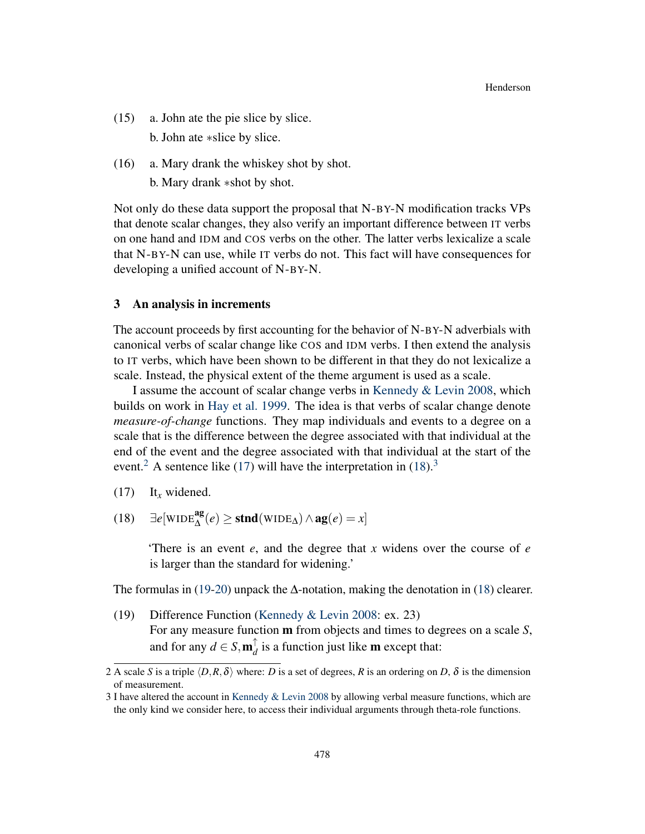- <span id="page-5-0"></span>(15) a. John ate the pie slice by slice. b. John ate ∗slice by slice.
- <span id="page-5-1"></span>(16) a. Mary drank the whiskey shot by shot. b. Mary drank ∗shot by shot.

Not only do these data support the proposal that N-BY-N modification tracks VPs that denote scalar changes, they also verify an important difference between IT verbs on one hand and IDM and COS verbs on the other. The latter verbs lexicalize a scale that N-BY-N can use, while IT verbs do not. This fact will have consequences for developing a unified account of N-BY-N.

#### <span id="page-5-5"></span>3 An analysis in increments

The account proceeds by first accounting for the behavior of N-BY-N adverbials with canonical verbs of scalar change like COS and IDM verbs. I then extend the analysis to IT verbs, which have been shown to be different in that they do not lexicalize a scale. Instead, the physical extent of the theme argument is used as a scale.

I assume the account of scalar change verbs in [Kennedy & Levin](#page-18-1) [2008,](#page-18-1) which builds on work in [Hay et al.](#page-18-0) [1999.](#page-18-0) The idea is that verbs of scalar change denote *measure-of-change* functions. They map individuals and events to a degree on a scale that is the difference between the degree associated with that individual at the end of the event and the degree associated with that individual at the start of the event.<sup>[2](#page-0-1)</sup> A sentence like [\(17\)](#page-5-2) will have the interpretation in  $(18)$ .<sup>[3](#page-0-1)</sup>

<span id="page-5-3"></span>(18)  $\exists e$ [WIDE<sup>ag</sup>(*e*) ≥ **stnd**(WIDE<sub>△</sub>) ∧ ag(*e*) = *x*]

'There is an event *e*, and the degree that *x* widens over the course of *e* is larger than the standard for widening.'

The formulas in [\(19](#page-5-4)[-20\)](#page-6-0) unpack the  $\Delta$ -notation, making the denotation in [\(18\)](#page-5-3) clearer.

<span id="page-5-4"></span>(19) Difference Function [\(Kennedy & Levin](#page-18-1) [2008:](#page-18-1) ex. 23) For any measure function m from objects and times to degrees on a scale *S*, and for any  $d \in S, m_d^{\uparrow}$  $_d^{\dagger}$  is a function just like **m** except that:

<span id="page-5-2"></span><sup>(17)</sup> It*<sup>x</sup>* widened.

<sup>2</sup> A scale *S* is a triple  $\langle D, R, \delta \rangle$  where: *D* is a set of degrees, *R* is an ordering on *D*,  $\delta$  is the dimension of measurement.

<sup>3</sup> I have altered the account in [Kennedy & Levin](#page-18-1) [2008](#page-18-1) by allowing verbal measure functions, which are the only kind we consider here, to access their individual arguments through theta-role functions.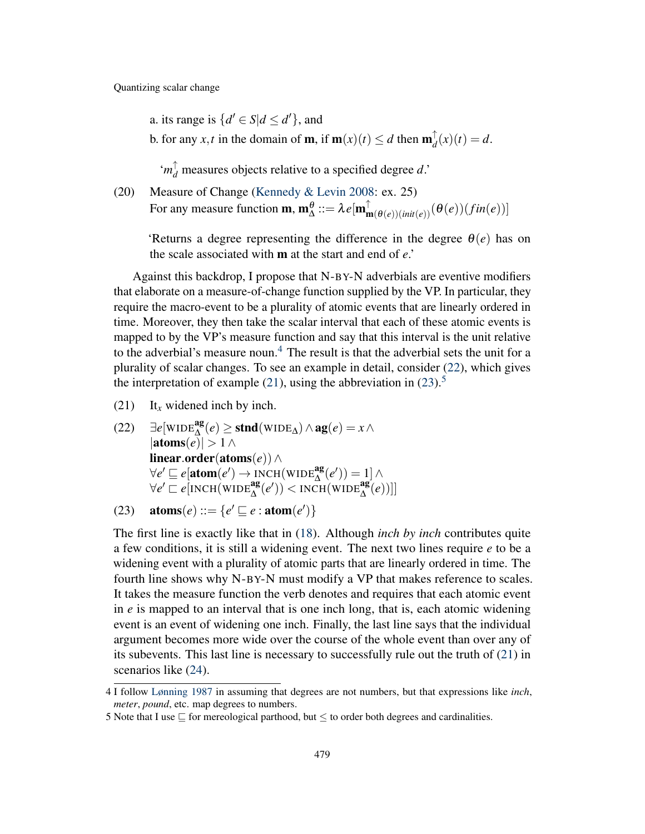a. its range is  $\{d' \in S | d \leq d'\}$ , and

b. for any *x*,*t* in the domain of **m**, if **m** $(x)(t) \le d$  then **m** $^{\uparrow}_{d}$  $d_{d}^{d}(x)(t) = d.$ 

 $'m_d^{\uparrow}$  measures objects relative to a specified degree *d*.'

<span id="page-6-0"></span>(20) Measure of Change [\(Kennedy & Levin](#page-18-1) [2008:](#page-18-1) ex. 25) For any measure function  $\mathbf{m}, \mathbf{m}_{\Delta}^{\theta} ::= \lambda e[\mathbf{m}_{\mathbf{m}(\theta(e))(\textit{init}(e))}^{\dagger}(\theta(e))(\textit{fin}(e))]$ 

'Returns a degree representing the difference in the degree  $\theta(e)$  has on the scale associated with m at the start and end of *e*.'

Against this backdrop, I propose that N-BY-N adverbials are eventive modifiers that elaborate on a measure-of-change function supplied by the VP. In particular, they require the macro-event to be a plurality of atomic events that are linearly ordered in time. Moreover, they then take the scalar interval that each of these atomic events is mapped to by the VP's measure function and say that this interval is the unit relative to the adverbial's measure noun.<sup>[4](#page-0-1)</sup> The result is that the adverbial sets the unit for a plurality of scalar changes. To see an example in detail, consider [\(22\)](#page-6-1), which gives the interpretation of example [\(21\)](#page-6-2), using the abbreviation in [\(23\)](#page-6-3).<sup>[5](#page-0-1)</sup>

- <span id="page-6-2"></span>(21) It*<sup>x</sup>* widened inch by inch.
- <span id="page-6-1"></span>(22)  $\exists e[\text{WIDE}_{\Delta}^{\text{ag}}(e) \geq \text{stnd}(\text{WIDE}_{\Delta}) \land \text{ag}(e) = x \land$  $|\text{atoms}(e)| > 1 \land$ linear.order(atoms(*e*))∧  $\forall e' \sqsubseteq e[\text{atom}(e') \rightarrow \text{INCH}(\text{WIDE}_{\Delta}^{\text{ag}}(e')) = 1] \wedge$  $\forall e' \sqsubseteq e[\text{NCH}(\text{WIDE}_{\Delta}^{\text{ag}}(e'))] < \text{NCH}(\text{WIDE}_{\Delta}^{\text{ag}}(e))]]$

<span id="page-6-3"></span>(23)  $\text{atoms}(e) ::= \{e' \sqsubseteq e : \text{atom}(e')\}$ 

The first line is exactly like that in [\(18\)](#page-5-3). Although *inch by inch* contributes quite a few conditions, it is still a widening event. The next two lines require *e* to be a widening event with a plurality of atomic parts that are linearly ordered in time. The fourth line shows why N-BY-N must modify a VP that makes reference to scales. It takes the measure function the verb denotes and requires that each atomic event in *e* is mapped to an interval that is one inch long, that is, each atomic widening event is an event of widening one inch. Finally, the last line says that the individual argument becomes more wide over the course of the whole event than over any of its subevents. This last line is necessary to successfully rule out the truth of [\(21\)](#page-6-2) in scenarios like [\(24\)](#page-7-0).

<sup>4</sup> I follow [Lønning](#page-19-3) [1987](#page-19-3) in assuming that degrees are not numbers, but that expressions like *inch*, *meter*, *pound*, etc. map degrees to numbers.

<sup>5</sup> Note that I use  $\sqsubseteq$  for mereological parthood, but  $\leq$  to order both degrees and cardinalities.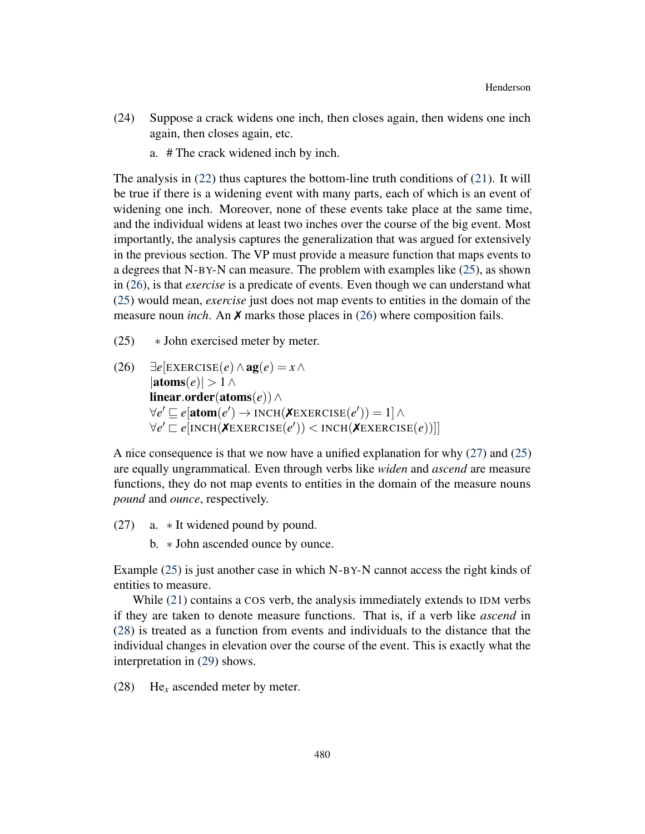- <span id="page-7-0"></span>(24) Suppose a crack widens one inch, then closes again, then widens one inch again, then closes again, etc.
	- a. # The crack widened inch by inch.

The analysis in  $(22)$  thus captures the bottom-line truth conditions of  $(21)$ . It will be true if there is a widening event with many parts, each of which is an event of widening one inch. Moreover, none of these events take place at the same time, and the individual widens at least two inches over the course of the big event. Most importantly, the analysis captures the generalization that was argued for extensively in the previous section. The VP must provide a measure function that maps events to a degrees that N-BY-N can measure. The problem with examples like [\(25\)](#page-7-1), as shown in [\(26\)](#page-7-2), is that *exercise* is a predicate of events. Even though we can understand what [\(25\)](#page-7-1) would mean, *exercise* just does not map events to entities in the domain of the measure noun *inch*. An ✗ marks those places in [\(26\)](#page-7-2) where composition fails.

- <span id="page-7-1"></span>(25) ∗ John exercised meter by meter.
- <span id="page-7-2"></span>(26)  $∃e[EXERCISE(e) ∧ **ag**(e) = x ∧$  $|\text{atoms}(e)| > 1 \land$ linear.order(atoms(*e*))∧  $\forall e' \sqsubseteq e[\text{atom}(e') \rightarrow \text{INCH}(\textbf{X} \text{EXERCISE}(e')) = 1] \land$  $\forall e' \sqsubset e[\text{INCH}(\textbf{X} \text{EXERCISE}(e')) < \text{INCH}(\textbf{X} \text{EXERCISE}(e))]]$

A nice consequence is that we now have a unified explanation for why [\(27\)](#page-7-3) and [\(25\)](#page-7-1) are equally ungrammatical. Even through verbs like *widen* and *ascend* are measure functions, they do not map events to entities in the domain of the measure nouns *pound* and *ounce*, respectively.

<span id="page-7-3"></span>(27) a. ∗ It widened pound by pound.

b. ∗ John ascended ounce by ounce.

Example [\(25\)](#page-7-1) is just another case in which N-BY-N cannot access the right kinds of entities to measure.

While [\(21\)](#page-6-2) contains a COS verb, the analysis immediately extends to IDM verbs if they are taken to denote measure functions. That is, if a verb like *ascend* in [\(28\)](#page-7-4) is treated as a function from events and individuals to the distance that the individual changes in elevation over the course of the event. This is exactly what the interpretation in [\(29\)](#page-8-0) shows.

<span id="page-7-4"></span>(28) He*<sup>x</sup>* ascended meter by meter.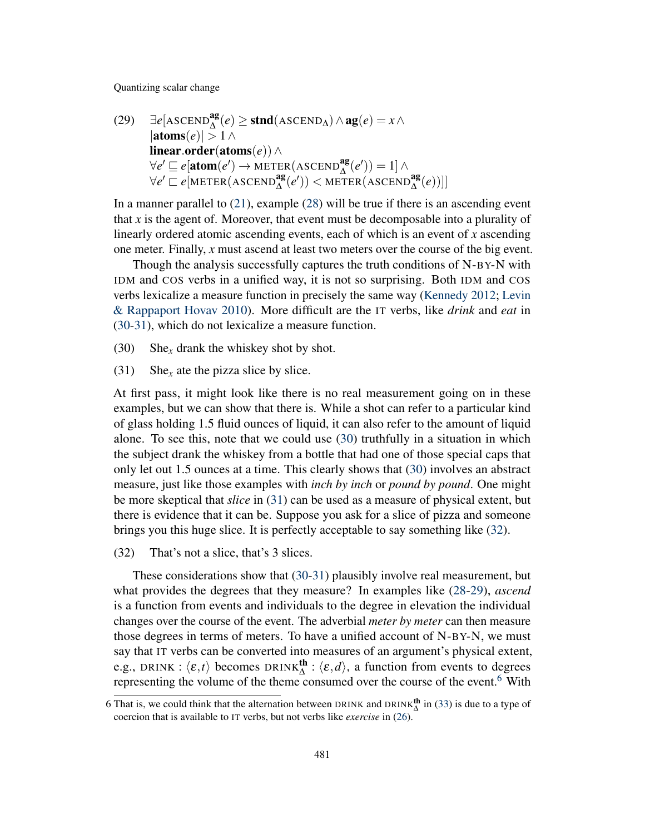<span id="page-8-0"></span>(29) 
$$
\exists e[\text{ASCEND}_{\Delta}^{\text{ag}}(e) \ge \text{stnd}(\text{ASCEND}_{\Delta}) \land \text{ag}(e) = x \land
$$
  
lators(e)| > 1  $\land$   
linear-order(atoms(e))  $\land$   
 $\forall e' \sqsubseteq e[\text{atom}(e') \rightarrow \text{METER}(\text{ASCEND}_{\Delta}^{\text{ag}}(e')) = 1] \land$   
 $\forall e' \sqsubset e[\text{METER}(\text{ASCEND}_{\Delta}^{\text{ag}}(e')) < \text{METER}(\text{ASCEND}_{\Delta}^{\text{ag}}(e))]]$ 

In a manner parallel to [\(21\)](#page-6-2), example [\(28\)](#page-7-4) will be true if there is an ascending event that *x* is the agent of. Moreover, that event must be decomposable into a plurality of linearly ordered atomic ascending events, each of which is an event of *x* ascending one meter. Finally, *x* must ascend at least two meters over the course of the big event.

Though the analysis successfully captures the truth conditions of N-BY-N with IDM and COS verbs in a unified way, it is not so surprising. Both IDM and COS verbs lexicalize a measure function in precisely the same way [\(Kennedy](#page-18-2) [2012;](#page-18-2) [Levin](#page-18-8) [& Rappaport Hovav](#page-18-8) [2010\)](#page-18-8). More difficult are the IT verbs, like *drink* and *eat* in [\(30-](#page-8-1)[31\)](#page-8-2), which do not lexicalize a measure function.

- <span id="page-8-1"></span>(30) She<sub>x</sub> drank the whiskey shot by shot.
- <span id="page-8-2"></span>(31) She<sub>x</sub> ate the pizza slice by slice.

At first pass, it might look like there is no real measurement going on in these examples, but we can show that there is. While a shot can refer to a particular kind of glass holding 1.5 fluid ounces of liquid, it can also refer to the amount of liquid alone. To see this, note that we could use [\(30\)](#page-8-1) truthfully in a situation in which the subject drank the whiskey from a bottle that had one of those special caps that only let out 1.5 ounces at a time. This clearly shows that [\(30\)](#page-8-1) involves an abstract measure, just like those examples with *inch by inch* or *pound by pound*. One might be more skeptical that *slice* in [\(31\)](#page-8-2) can be used as a measure of physical extent, but there is evidence that it can be. Suppose you ask for a slice of pizza and someone brings you this huge slice. It is perfectly acceptable to say something like [\(32\)](#page-8-3).

<span id="page-8-3"></span>(32) That's not a slice, that's 3 slices.

These considerations show that [\(30-](#page-8-1)[31\)](#page-8-2) plausibly involve real measurement, but what provides the degrees that they measure? In examples like [\(28-](#page-7-4)[29\)](#page-8-0), *ascend* is a function from events and individuals to the degree in elevation the individual changes over the course of the event. The adverbial *meter by meter* can then measure those degrees in terms of meters. To have a unified account of N-BY-N, we must say that IT verbs can be converted into measures of an argument's physical extent, e.g., DRINK :  $\langle \varepsilon, t \rangle$  becomes DRINK<sup>th</sup> :  $\langle \varepsilon, d \rangle$ , a function from events to degrees representing the volume of the theme consumed over the course of the event.<sup>[6](#page-0-1)</sup> With

<sup>6</sup> That is, we could think that the alternation between DRINK and DRINK<sup>th</sup> in [\(33\)](#page-9-1) is due to a type of coercion that is available to IT verbs, but not verbs like *exercise* in [\(26\)](#page-7-2).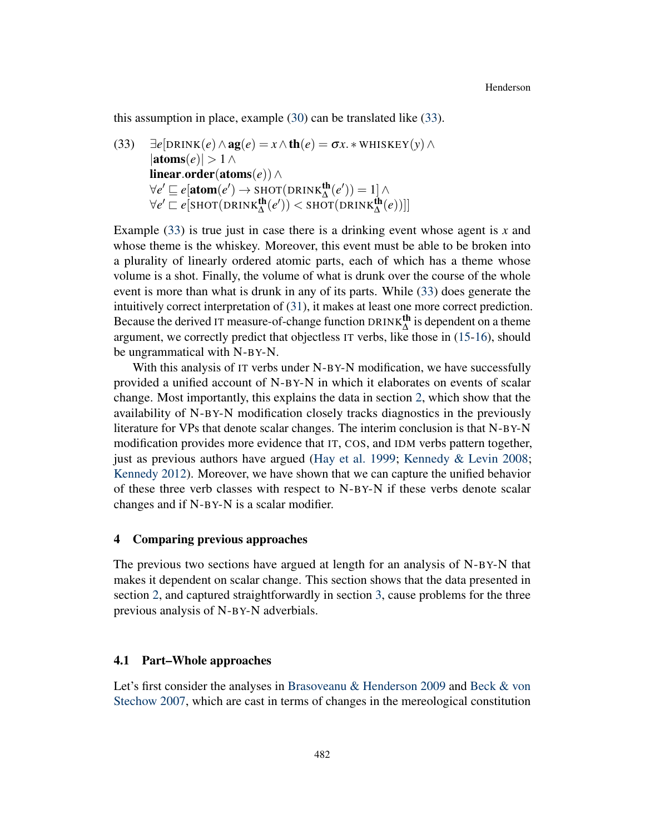this assumption in place, example [\(30\)](#page-8-1) can be translated like [\(33\)](#page-9-1).

<span id="page-9-1"></span>(33)  $\exists e[\text{DRINK}(e) \land \text{ag}(e) = x \land \text{th}(e) = \sigma x.* \text{WHISKEY}(y) \land$  $|\text{atoms}(e)| > 1 \land$ linear.order(atoms(*e*))∧  $\forall e' \sqsubseteq e[\text{atom}(e') \rightarrow \text{SHOT}(\text{DRINK}_{\Delta}^{\text{th}}(e')) = 1] \wedge$  $\forall e' \sqsubset e[\text{SHOT}(\text{DRINK}_{\Delta}^{\text{th}}(e')) < \text{SHOT}(\text{DRINK}_{\Delta}^{\text{th}}(e))]]$ 

Example [\(33\)](#page-9-1) is true just in case there is a drinking event whose agent is *x* and whose theme is the whiskey. Moreover, this event must be able to be broken into a plurality of linearly ordered atomic parts, each of which has a theme whose volume is a shot. Finally, the volume of what is drunk over the course of the whole event is more than what is drunk in any of its parts. While [\(33\)](#page-9-1) does generate the intuitively correct interpretation of [\(31\)](#page-8-2), it makes at least one more correct prediction. Because the derived IT measure-of-change function  $DRINK_{\Delta}^{th}$  is dependent on a theme argument, we correctly predict that objectless IT verbs, like those in [\(15-](#page-5-0)[16\)](#page-5-1), should be ungrammatical with N-BY-N.

With this analysis of IT verbs under N-BY-N modification, we have successfully provided a unified account of N-BY-N in which it elaborates on events of scalar change. Most importantly, this explains the data in section [2,](#page-2-2) which show that the availability of N-BY-N modification closely tracks diagnostics in the previously literature for VPs that denote scalar changes. The interim conclusion is that N-BY-N modification provides more evidence that IT, COS, and IDM verbs pattern together, just as previous authors have argued [\(Hay et al.](#page-18-0) [1999;](#page-18-0) [Kennedy & Levin](#page-18-1) [2008;](#page-18-1) [Kennedy](#page-18-2) [2012\)](#page-18-2). Moreover, we have shown that we can capture the unified behavior of these three verb classes with respect to N-BY-N if these verbs denote scalar changes and if N-BY-N is a scalar modifier.

## <span id="page-9-0"></span>4 Comparing previous approaches

The previous two sections have argued at length for an analysis of N-BY-N that makes it dependent on scalar change. This section shows that the data presented in section [2,](#page-2-2) and captured straightforwardly in section [3,](#page-5-5) cause problems for the three previous analysis of N-BY-N adverbials.

#### 4.1 Part–Whole approaches

Let's first consider the analyses in [Brasoveanu & Henderson](#page-18-4) [2009](#page-18-4) and [Beck & von](#page-18-3) [Stechow](#page-18-3) [2007,](#page-18-3) which are cast in terms of changes in the mereological constitution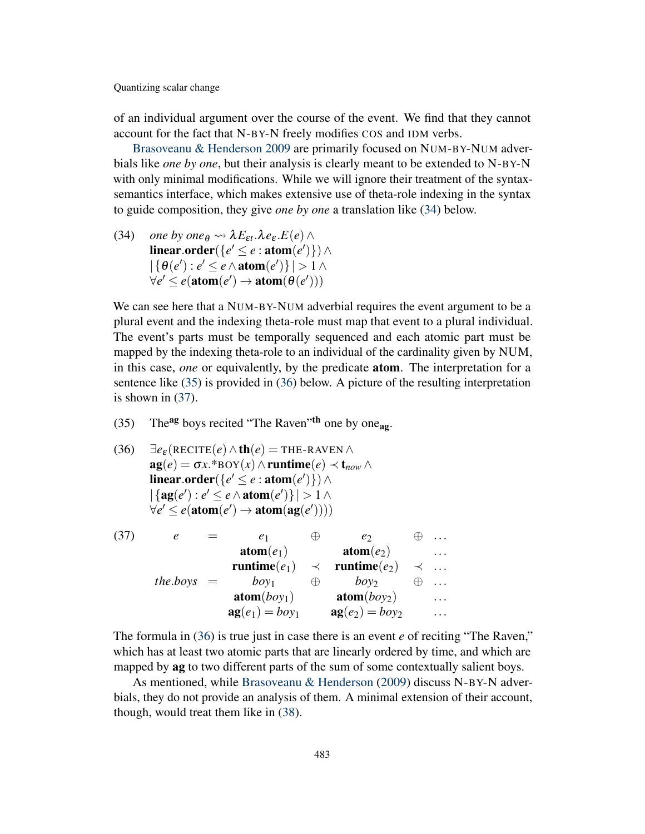of an individual argument over the course of the event. We find that they cannot account for the fact that N-BY-N freely modifies COS and IDM verbs.

[Brasoveanu & Henderson](#page-18-4) [2009](#page-18-4) are primarily focused on NUM-BY-NUM adverbials like *one by one*, but their analysis is clearly meant to be extended to N-BY-N with only minimal modifications. While we will ignore their treatment of the syntaxsemantics interface, which makes extensive use of theta-role indexing in the syntax to guide composition, they give *one by one* a translation like [\(34\)](#page-10-0) below.

<span id="page-10-0"></span>(34) *one by one*<sub> $\theta$ </sub>  $\rightsquigarrow$   $\lambda E_{\epsilon t}.\lambda e_{\epsilon}.E(e) \wedge$  $\mathbf{linear}.\mathbf{order}(\{e'\leq e:\mathbf{atom}(e')\})\land$  $|\{\theta(e'): e' \leq e \wedge \text{atom}(e')\}| > 1 \wedge$  $\forall e' \leq e(\text{atom}(e') \rightarrow \text{atom}(\theta(e')))$ 

We can see here that a NUM-BY-NUM adverbial requires the event argument to be a plural event and the indexing theta-role must map that event to a plural individual. The event's parts must be temporally sequenced and each atomic part must be mapped by the indexing theta-role to an individual of the cardinality given by NUM, in this case, *one* or equivalently, by the predicate atom. The interpretation for a sentence like [\(35\)](#page-10-1) is provided in [\(36\)](#page-10-2) below. A picture of the resulting interpretation is shown in [\(37\)](#page-10-3).

- <span id="page-10-1"></span>(35) The<sup>ag</sup> boys recited "The Raven"<sup>th</sup> one by one<sub>ag</sub>.
- <span id="page-10-2"></span> $\exists e_{\varepsilon}(\text{RECTTE}(e) \wedge \text{th}(e) = \text{THE-RAVEN} \wedge$  $ag(e) = \sigma x.*$ BOY $(x) \wedge$ runtime $(e) \prec t_{now} \wedge$  $\mathbf{linear}.\mathbf{order}(\lbrace e' \leq e : \mathbf{atom}(e') \rbrace) \land$  $|\{ag(e') : e' \leq e \land atom(e')\}| > 1 ∧$  $\forall e' \leq e(\text{atom}(e') \rightarrow \text{atom}(\text{ag}(e'))))$
- <span id="page-10-3"></span>(37)  $e = e_1 \oplus e_2 \oplus ...$  $atom(e_1)$   $atom(e_2)$  ...  $\text{ runtime}(e_1) \prec \text{ runtime}(e_2) \prec \dots$  $the.bovs = boy_1 \oplus boy_2 \oplus ...$  $\text{atom}(boy_1)$   $\text{atom}(boy_2)$  ...  $ag(e_1) = boy_1$   $ag(e_2) = boy_2$  ...

The formula in [\(36\)](#page-10-2) is true just in case there is an event *e* of reciting "The Raven," which has at least two atomic parts that are linearly ordered by time, and which are mapped by **ag** to two different parts of the sum of some contextually salient boys.

As mentioned, while [Brasoveanu & Henderson](#page-18-4) [\(2009\)](#page-18-4) discuss N-BY-N adverbials, they do not provide an analysis of them. A minimal extension of their account, though, would treat them like in [\(38\)](#page-11-0).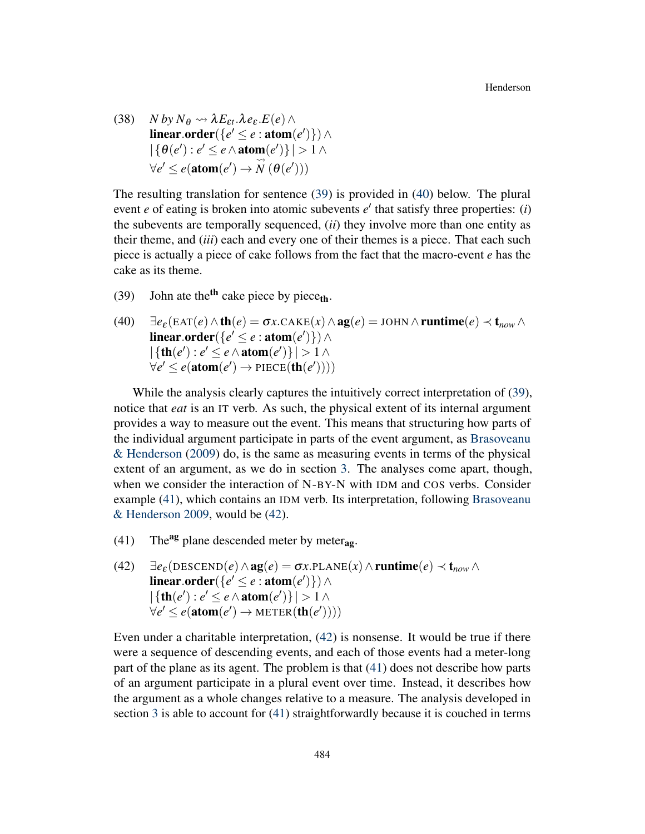<span id="page-11-0"></span>(38) *N by*  $N_{\theta} \rightsquigarrow \lambda E_{\epsilon t}.\lambda e_{\epsilon} E(e) \wedge$  $linear-order({e'} \leq e:atom(e')) \wedge$  $|\{\theta(e'): e' \leq e \wedge \text{atom}(e')\}| > 1 \wedge$  $\forall e' \leq e$ (**atom**(*e'*) →  $\overline{\mathbb{Q}}$  $\stackrel{\sim}{N}(\theta(e')))$ 

The resulting translation for sentence [\(39\)](#page-11-1) is provided in [\(40\)](#page-11-2) below. The plural event  $e$  of eating is broken into atomic subevents  $e'$  that satisfy three properties: (*i*) the subevents are temporally sequenced, (*ii*) they involve more than one entity as their theme, and (*iii*) each and every one of their themes is a piece. That each such piece is actually a piece of cake follows from the fact that the macro-event *e* has the cake as its theme.

- <span id="page-11-1"></span>(39) John ate the<sup>th</sup> cake piece by piece<sub>th</sub>.
- <span id="page-11-2"></span>(40)  $\exists e_{\varepsilon}(\text{EAT}(e) \wedge \text{th}(e) = \sigma x \cdot \text{CAKE}(x) \wedge \text{ag}(e) = \text{JOHN} \wedge \text{runtime}(e) \prec \text{t}_{now} \wedge$  $\mathbf{linear}.\mathbf{order}(\{e'\leq e:\mathbf{atom}(e')\})\land$  $|\{\text{th}(e') : e' \leq e \land \text{atom}(e')\}| > 1 \land$  $\forall e' \leq e(\text{atom}(e') \rightarrow \text{PIECE}(\text{th}(e'))))$

While the analysis clearly captures the intuitively correct interpretation of [\(39\)](#page-11-1), notice that *eat* is an IT verb. As such, the physical extent of its internal argument provides a way to measure out the event. This means that structuring how parts of the individual argument participate in parts of the event argument, as [Brasoveanu](#page-18-4) [& Henderson](#page-18-4) [\(2009\)](#page-18-4) do, is the same as measuring events in terms of the physical extent of an argument, as we do in section [3.](#page-5-5) The analyses come apart, though, when we consider the interaction of N-BY-N with IDM and COS verbs. Consider example [\(41\)](#page-11-3), which contains an IDM verb. Its interpretation, following [Brasoveanu](#page-18-4) [& Henderson](#page-18-4) [2009,](#page-18-4) would be [\(42\)](#page-11-4).

- <span id="page-11-3"></span>(41) The<sup>ag</sup> plane descended meter by meter<sub>ag</sub>.
- <span id="page-11-4"></span>(42)  $\exists e_{\varepsilon}(\text{DESCEND}(e) \land \text{ag}(e) = \sigma x.\text{PLANE}(x) \land \text{runtime}(e) \prec \text{t}_{now} \land$  $linear-order({*e*' ≤ *e* : atom(*e*')) ∧$  $|\{\text{th}(e') : e' \leq e \land \text{atom}(e')\}| > 1 \land$  $\forall e' \leq e(\text{atom}(e') \rightarrow \text{METER}(\text{th}(e'))))$

Even under a charitable interpretation, [\(42\)](#page-11-4) is nonsense. It would be true if there were a sequence of descending events, and each of those events had a meter-long part of the plane as its agent. The problem is that [\(41\)](#page-11-3) does not describe how parts of an argument participate in a plural event over time. Instead, it describes how the argument as a whole changes relative to a measure. The analysis developed in section [3](#page-5-5) is able to account for [\(41\)](#page-11-3) straightforwardly because it is couched in terms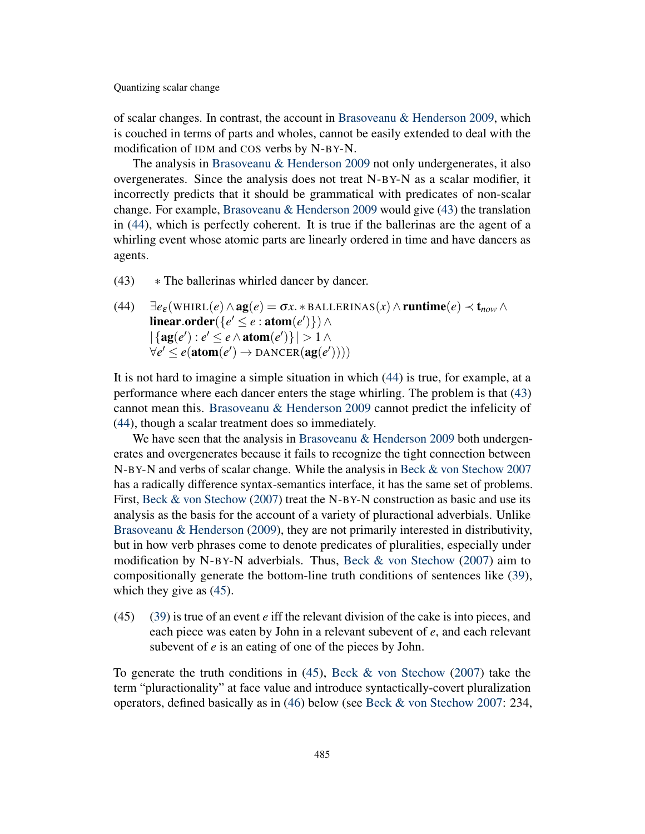of scalar changes. In contrast, the account in [Brasoveanu & Henderson](#page-18-4) [2009,](#page-18-4) which is couched in terms of parts and wholes, cannot be easily extended to deal with the modification of IDM and COS verbs by N-BY-N.

The analysis in [Brasoveanu & Henderson](#page-18-4) [2009](#page-18-4) not only undergenerates, it also overgenerates. Since the analysis does not treat N-BY-N as a scalar modifier, it incorrectly predicts that it should be grammatical with predicates of non-scalar change. For example, [Brasoveanu & Henderson](#page-18-4) [2009](#page-18-4) would give [\(43\)](#page-12-0) the translation in [\(44\)](#page-12-1), which is perfectly coherent. It is true if the ballerinas are the agent of a whirling event whose atomic parts are linearly ordered in time and have dancers as agents.

- <span id="page-12-0"></span> $(43)$   $\ast$  The ballerinas whirled dancer by dancer.
- <span id="page-12-1"></span> $\exists e_{\varepsilon}$ (WHIRL $(e) \wedge \text{ag}(e) = \sigma x. * \text{BALLERINAS}(x) \wedge \text{runtime}(e) \prec \text{t}_{now} \wedge$  $\mathbf{linear}.\mathbf{order}(\lbrace e' \leq e : \mathbf{atom}(e') \rbrace) \land$  $|\{ag(e') : e' \le e \land atom(e')\}| > 1 ∧$  $\forall e' \leq e(\text{atom}(e') \rightarrow \text{DANCER}(\text{ag}(e'))))$

It is not hard to imagine a simple situation in which [\(44\)](#page-12-1) is true, for example, at a performance where each dancer enters the stage whirling. The problem is that [\(43\)](#page-12-0) cannot mean this. [Brasoveanu & Henderson](#page-18-4) [2009](#page-18-4) cannot predict the infelicity of [\(44\)](#page-12-1), though a scalar treatment does so immediately.

We have seen that the analysis in [Brasoveanu & Henderson](#page-18-4) [2009](#page-18-4) both undergenerates and overgenerates because it fails to recognize the tight connection between N-BY-N and verbs of scalar change. While the analysis in [Beck & von Stechow](#page-18-3) [2007](#page-18-3) has a radically difference syntax-semantics interface, it has the same set of problems. First, Beck  $\&$  von Stechow [\(2007\)](#page-18-3) treat the N-BY-N construction as basic and use its analysis as the basis for the account of a variety of pluractional adverbials. Unlike [Brasoveanu & Henderson](#page-18-4) [\(2009\)](#page-18-4), they are not primarily interested in distributivity, but in how verb phrases come to denote predicates of pluralities, especially under modification by N-BY-N adverbials. Thus, Beck  $&$  von Stechow [\(2007\)](#page-18-3) aim to compositionally generate the bottom-line truth conditions of sentences like [\(39\)](#page-11-1), which they give as [\(45\)](#page-12-2).

<span id="page-12-2"></span>(45) [\(39\)](#page-11-1) is true of an event *e* iff the relevant division of the cake is into pieces, and each piece was eaten by John in a relevant subevent of *e*, and each relevant subevent of *e* is an eating of one of the pieces by John.

To generate the truth conditions in  $(45)$ , [Beck & von Stechow](#page-18-3) [\(2007\)](#page-18-3) take the term "pluractionality" at face value and introduce syntactically-covert pluralization operators, defined basically as in [\(46\)](#page-13-0) below (see [Beck & von Stechow](#page-18-3) [2007:](#page-18-3) 234,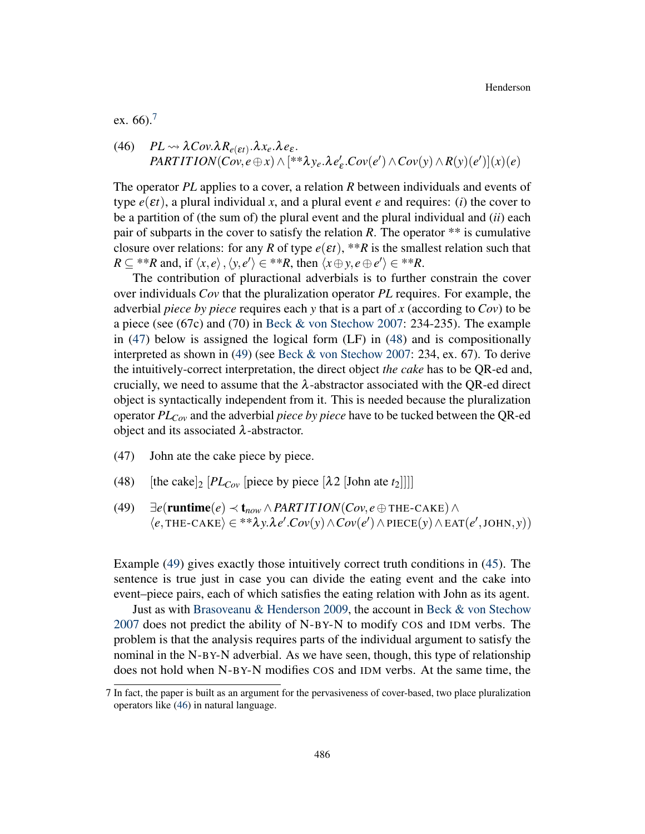ex. 66).<sup>[7](#page-0-1)</sup>

<span id="page-13-0"></span>(46) 
$$
PL \rightsquigarrow \lambda Cov.\lambda R_{e(\epsilon t)}.\lambda x_e.\lambda e_{\epsilon}.
$$
  
 $PARTITION(Cov, e \oplus x) \wedge [**\lambda y_e.\lambda e'_{\epsilon}.Cov(e') \wedge Cov(y) \wedge R(y)(e')] (x)(e)$ 

The operator *PL* applies to a cover, a relation *R* between individuals and events of type  $e(\varepsilon t)$ , a plural individual x, and a plural event *e* and requires: (*i*) the cover to be a partition of (the sum of) the plural event and the plural individual and (*ii*) each pair of subparts in the cover to satisfy the relation  $R$ . The operator  $**$  is cumulative closure over relations: for any *R* of type  $e(\varepsilon t)$ , \*\**R* is the smallest relation such that  $R \subseteq$  \*\**R* and, if  $\langle x, e \rangle$ ,  $\langle y, e' \rangle \in$  \*\**R*, then  $\langle x \oplus y, e \oplus e' \rangle \in$  \*\**R*.

The contribution of pluractional adverbials is to further constrain the cover over individuals *Cov* that the pluralization operator *PL* requires. For example, the adverbial *piece by piece* requires each *y* that is a part of *x* (according to *Cov*) to be a piece (see (67c) and (70) in [Beck & von Stechow](#page-18-3) [2007:](#page-18-3) 234-235). The example in [\(47\)](#page-13-1) below is assigned the logical form (LF) in [\(48\)](#page-13-2) and is compositionally interpreted as shown in [\(49\)](#page-13-3) (see [Beck & von Stechow](#page-18-3) [2007:](#page-18-3) 234, ex. 67). To derive the intuitively-correct interpretation, the direct object *the cake* has to be QR-ed and, crucially, we need to assume that the  $\lambda$ -abstractor associated with the QR-ed direct object is syntactically independent from it. This is needed because the pluralization operator *PLCov* and the adverbial *piece by piece* have to be tucked between the QR-ed object and its associated  $λ$ -abstractor.

- <span id="page-13-1"></span>(47) John ate the cake piece by piece.
- <span id="page-13-2"></span>(48) [the cake]<sub>2</sub>  $[PL_{Cov}$  [piece by piece  $[\lambda 2$  [John ate  $t_2$ ]]]]
- <span id="page-13-3"></span>(49)  $\exists e(\text{runtime}(e) \prec t_{now} \land PARTITION(Cov, e \oplus \text{THE-CAKE}) \land$  $\langle e, \text{THE-CAKE} \rangle \in$ \*\* $\lambda y. \lambda e'.Cov(y) \wedge Cov(e') \wedge \text{PIECE}(y) \wedge \text{EAT}(e', \text{JOHN}, y))$

Example [\(49\)](#page-13-3) gives exactly those intuitively correct truth conditions in [\(45\)](#page-12-2). The sentence is true just in case you can divide the eating event and the cake into event–piece pairs, each of which satisfies the eating relation with John as its agent.

Just as with [Brasoveanu & Henderson](#page-18-4) [2009,](#page-18-4) the account in [Beck & von Stechow](#page-18-3) [2007](#page-18-3) does not predict the ability of N-BY-N to modify COS and IDM verbs. The problem is that the analysis requires parts of the individual argument to satisfy the nominal in the N-BY-N adverbial. As we have seen, though, this type of relationship does not hold when N-BY-N modifies COS and IDM verbs. At the same time, the

<sup>7</sup> In fact, the paper is built as an argument for the pervasiveness of cover-based, two place pluralization operators like [\(46\)](#page-13-0) in natural language.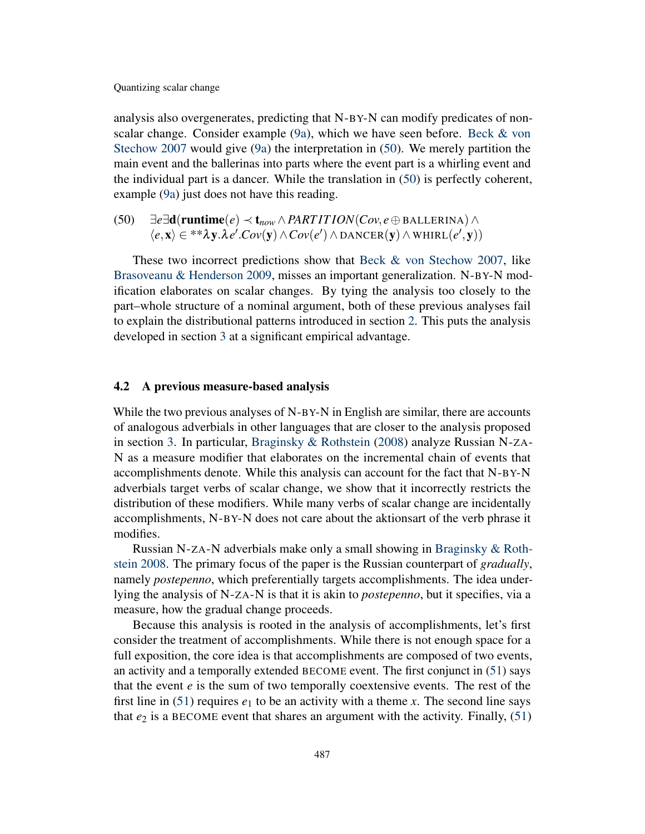analysis also overgenerates, predicting that N-BY-N can modify predicates of nonscalar change. Consider example [\(9a\)](#page-3-0), which we have seen before. [Beck & von](#page-18-3) [Stechow](#page-18-3) [2007](#page-18-3) would give [\(9a\)](#page-3-0) the interpretation in [\(50\)](#page-14-0). We merely partition the main event and the ballerinas into parts where the event part is a whirling event and the individual part is a dancer. While the translation in [\(50\)](#page-14-0) is perfectly coherent, example [\(9a\)](#page-3-0) just does not have this reading.

<span id="page-14-0"></span>(50)  $\exists e \exists \mathbf{d}(\mathbf{runtime}(e) \prec \mathbf{t}_{now} \land \text{PARTITION}(Cov, e \oplus \text{BALLERINA}) \land$  $\langle e, \mathbf{x} \rangle$  ∈ \*\* $\lambda \mathbf{y}.\lambda e'.Cov(\mathbf{y}) \wedge Cov(e') \wedge \text{DANCER}(\mathbf{y}) \wedge \text{WHIRL}(e', \mathbf{y}))$ 

These two incorrect predictions show that [Beck & von Stechow](#page-18-3) [2007,](#page-18-3) like [Brasoveanu & Henderson](#page-18-4) [2009,](#page-18-4) misses an important generalization. N-BY-N modification elaborates on scalar changes. By tying the analysis too closely to the part–whole structure of a nominal argument, both of these previous analyses fail to explain the distributional patterns introduced in section [2.](#page-2-2) This puts the analysis developed in section [3](#page-5-5) at a significant empirical advantage.

#### 4.2 A previous measure-based analysis

While the two previous analyses of N-BY-N in English are similar, there are accounts of analogous adverbials in other languages that are closer to the analysis proposed in section [3.](#page-5-5) In particular, [Braginsky & Rothstein](#page-18-5) [\(2008\)](#page-18-5) analyze Russian N-ZA-N as a measure modifier that elaborates on the incremental chain of events that accomplishments denote. While this analysis can account for the fact that N-BY-N adverbials target verbs of scalar change, we show that it incorrectly restricts the distribution of these modifiers. While many verbs of scalar change are incidentally accomplishments, N-BY-N does not care about the aktionsart of the verb phrase it modifies.

Russian N-ZA-N adverbials make only a small showing in [Braginsky & Roth](#page-18-5)[stein](#page-18-5) [2008.](#page-18-5) The primary focus of the paper is the Russian counterpart of *gradually*, namely *postepenno*, which preferentially targets accomplishments. The idea underlying the analysis of N-ZA-N is that it is akin to *postepenno*, but it specifies, via a measure, how the gradual change proceeds.

Because this analysis is rooted in the analysis of accomplishments, let's first consider the treatment of accomplishments. While there is not enough space for a full exposition, the core idea is that accomplishments are composed of two events, an activity and a temporally extended BECOME event. The first conjunct in [\(51\)](#page-15-0) says that the event *e* is the sum of two temporally coextensive events. The rest of the first line in [\(51\)](#page-15-0) requires  $e_1$  to be an activity with a theme *x*. The second line says that  $e_2$  is a BECOME event that shares an argument with the activity. Finally,  $(51)$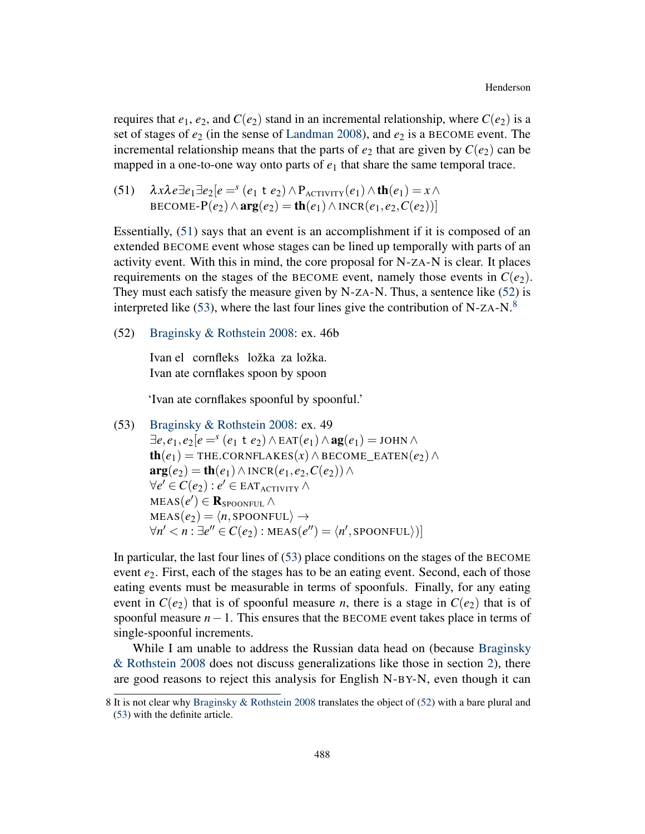requires that  $e_1, e_2$ , and  $C(e_2)$  stand in an incremental relationship, where  $C(e_2)$  is a set of stages of *e*<sup>2</sup> (in the sense of [Landman](#page-18-9) [2008\)](#page-18-9), and *e*<sup>2</sup> is a BECOME event. The incremental relationship means that the parts of  $e_2$  that are given by  $C(e_2)$  can be mapped in a one-to-one way onto parts of  $e_1$  that share the same temporal trace.

<span id="page-15-0"></span>(51) 
$$
\lambda x \lambda e \exists e_1 \exists e_2 [e =^s (e_1 \pm e_2) \wedge P_{\text{ACTIVITY}}(e_1) \wedge \text{th}(e_1) = x \wedge
$$
  
BECOME-P(e<sub>2</sub>)  $\wedge$  arg(e<sub>2</sub>) = th(e<sub>1</sub>)  $\wedge$  INCR(e<sub>1</sub>, e<sub>2</sub>, C(e<sub>2</sub>))]

Essentially, [\(51\)](#page-15-0) says that an event is an accomplishment if it is composed of an extended BECOME event whose stages can be lined up temporally with parts of an activity event. With this in mind, the core proposal for N-ZA-N is clear. It places requirements on the stages of the BECOME event, namely those events in  $C(e_2)$ . They must each satisfy the measure given by N-ZA-N. Thus, a sentence like [\(52\)](#page-15-1) is interpreted like [\(53\)](#page-15-2), where the last four lines give the contribution of N-ZA-N. $8$ 

<span id="page-15-1"></span>(52) [Braginsky & Rothstein](#page-18-5) [2008:](#page-18-5) ex. 46b

Ivan el cornfleks ložka za ložka. Ivan ate cornflakes spoon by spoon

'Ivan ate cornflakes spoonful by spoonful.'

<span id="page-15-2"></span>(53) Braginsky & Rothstein 2008: ex. 49  
\n
$$
\exists e, e_1, e_2 \mid e =^s (e_1 \pm e_2) \land \text{EAT}(e_1) \land \text{ag}(e_1) = \text{JOHN} \land
$$
  
\n $\text{th}(e_1) = \text{THE. CORNFLAKES}(x) \land \text{BECOME\_EATEN}(e_2) \land$   
\n $\text{arg}(e_2) = \text{th}(e_1) \land \text{INCR}(e_1, e_2, C(e_2)) \land$   
\n $\forall e' \in C(e_2) : e' \in \text{EAT}_{\text{ACTIVITY}} \land$   
\n $\text{MEAS}(e') \in \text{R}_{\text{SPOONFUL}} \land$   
\n $\forall n' < n : \exists e'' \in C(e_2) : \text{MEAS}(e'') = \langle n', \text{SPOONFUL} \rangle)$ 

In particular, the last four lines of [\(53\)](#page-15-2) place conditions on the stages of the BECOME event  $e_2$ . First, each of the stages has to be an eating event. Second, each of those eating events must be measurable in terms of spoonfuls. Finally, for any eating event in  $C(e_2)$  that is of spoonful measure *n*, there is a stage in  $C(e_2)$  that is of spoonful measure *n*−1. This ensures that the BECOME event takes place in terms of single-spoonful increments.

While I am unable to address the Russian data head on (because [Braginsky](#page-18-5) [& Rothstein](#page-18-5) [2008](#page-18-5) does not discuss generalizations like those in section [2\)](#page-2-2), there are good reasons to reject this analysis for English N-BY-N, even though it can

<sup>8</sup> It is not clear why [Braginsky & Rothstein](#page-18-5) [2008](#page-18-5) translates the object of [\(52\)](#page-15-1) with a bare plural and [\(53\)](#page-15-2) with the definite article.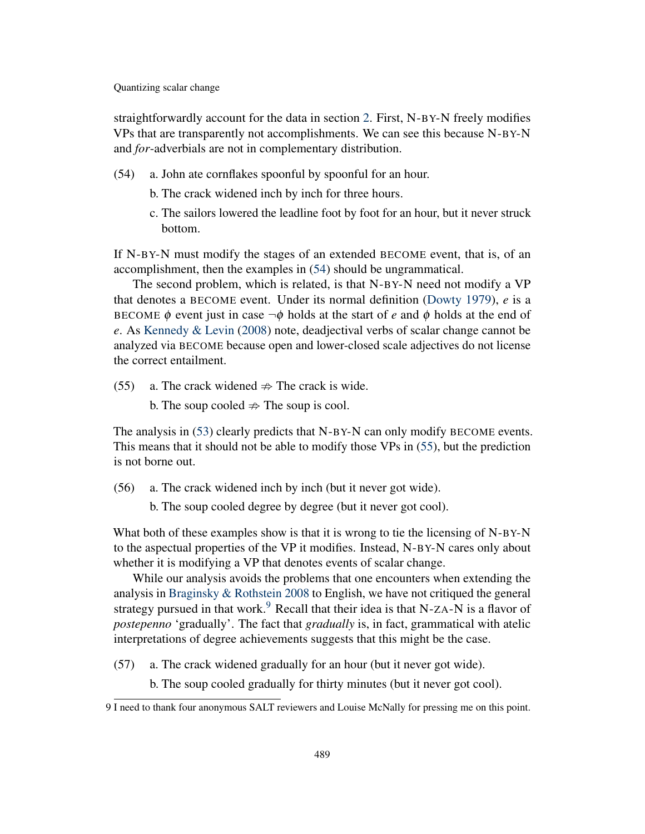straightforwardly account for the data in section [2.](#page-2-2) First, N-BY-N freely modifies VPs that are transparently not accomplishments. We can see this because N-BY-N and *for*-adverbials are not in complementary distribution.

- <span id="page-16-0"></span>(54) a. John ate cornflakes spoonful by spoonful for an hour.
	- b. The crack widened inch by inch for three hours.
	- c. The sailors lowered the leadline foot by foot for an hour, but it never struck bottom.

If N-BY-N must modify the stages of an extended BECOME event, that is, of an accomplishment, then the examples in [\(54\)](#page-16-0) should be ungrammatical.

The second problem, which is related, is that N-BY-N need not modify a VP that denotes a BECOME event. Under its normal definition [\(Dowty](#page-18-10) [1979\)](#page-18-10), *e* is a BECOME  $\phi$  event just in case  $\neg \phi$  holds at the start of *e* and  $\phi$  holds at the end of *e*. As [Kennedy & Levin](#page-18-1) [\(2008\)](#page-18-1) note, deadjectival verbs of scalar change cannot be analyzed via BECOME because open and lower-closed scale adjectives do not license the correct entailment.

- <span id="page-16-1"></span>(55) a. The crack widened  $\Rightarrow$  The crack is wide.
	- b. The soup cooled  $\Rightarrow$  The soup is cool.

The analysis in [\(53\)](#page-15-2) clearly predicts that N-BY-N can only modify BECOME events. This means that it should not be able to modify those VPs in [\(55\)](#page-16-1), but the prediction is not borne out.

- (56) a. The crack widened inch by inch (but it never got wide).
	- b. The soup cooled degree by degree (but it never got cool).

What both of these examples show is that it is wrong to tie the licensing of N-BY-N to the aspectual properties of the VP it modifies. Instead, N-BY-N cares only about whether it is modifying a VP that denotes events of scalar change.

While our analysis avoids the problems that one encounters when extending the analysis in [Braginsky & Rothstein](#page-18-5) [2008](#page-18-5) to English, we have not critiqued the general strategy pursued in that work.<sup>[9](#page-0-1)</sup> Recall that their idea is that N-ZA-N is a flavor of *postepenno* 'gradually'. The fact that *gradually* is, in fact, grammatical with atelic interpretations of degree achievements suggests that this might be the case.

(57) a. The crack widened gradually for an hour (but it never got wide).

b. The soup cooled gradually for thirty minutes (but it never got cool).

<sup>9</sup> I need to thank four anonymous SALT reviewers and Louise McNally for pressing me on this point.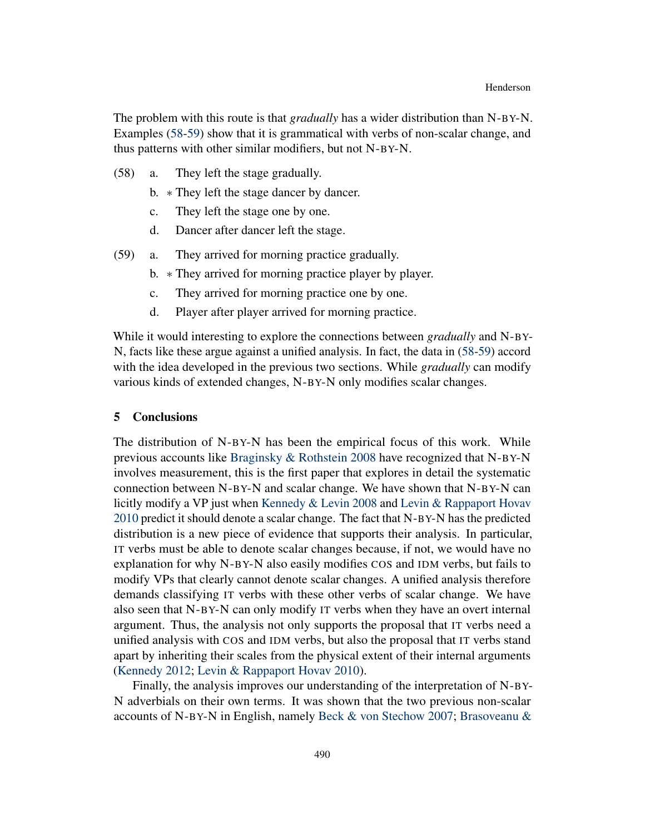The problem with this route is that *gradually* has a wider distribution than N-BY-N. Examples [\(58-](#page-17-0)[59\)](#page-17-1) show that it is grammatical with verbs of non-scalar change, and thus patterns with other similar modifiers, but not N-BY-N.

- <span id="page-17-0"></span>(58) a. They left the stage gradually.
	- b. ∗ They left the stage dancer by dancer.
	- c. They left the stage one by one.
	- d. Dancer after dancer left the stage.
- <span id="page-17-1"></span>(59) a. They arrived for morning practice gradually.
	- b. ∗ They arrived for morning practice player by player.
	- c. They arrived for morning practice one by one.
	- d. Player after player arrived for morning practice.

While it would interesting to explore the connections between *gradually* and N-BY-N, facts like these argue against a unified analysis. In fact, the data in [\(58](#page-17-0)[-59\)](#page-17-1) accord with the idea developed in the previous two sections. While *gradually* can modify various kinds of extended changes, N-BY-N only modifies scalar changes.

### 5 Conclusions

The distribution of N-BY-N has been the empirical focus of this work. While previous accounts like [Braginsky & Rothstein](#page-18-5) [2008](#page-18-5) have recognized that N-BY-N involves measurement, this is the first paper that explores in detail the systematic connection between N-BY-N and scalar change. We have shown that N-BY-N can licitly modify a VP just when [Kennedy & Levin](#page-18-1) [2008](#page-18-1) and [Levin & Rappaport Hovav](#page-18-8) [2010](#page-18-8) predict it should denote a scalar change. The fact that N-BY-N has the predicted distribution is a new piece of evidence that supports their analysis. In particular, IT verbs must be able to denote scalar changes because, if not, we would have no explanation for why N-BY-N also easily modifies COS and IDM verbs, but fails to modify VPs that clearly cannot denote scalar changes. A unified analysis therefore demands classifying IT verbs with these other verbs of scalar change. We have also seen that N-BY-N can only modify IT verbs when they have an overt internal argument. Thus, the analysis not only supports the proposal that IT verbs need a unified analysis with COS and IDM verbs, but also the proposal that IT verbs stand apart by inheriting their scales from the physical extent of their internal arguments [\(Kennedy](#page-18-2) [2012;](#page-18-2) [Levin & Rappaport Hovav](#page-18-8) [2010\)](#page-18-8).

Finally, the analysis improves our understanding of the interpretation of N-BY-N adverbials on their own terms. It was shown that the two previous non-scalar accounts of N-BY-N in English, namely [Beck & von Stechow](#page-18-3) [2007;](#page-18-3) [Brasoveanu &](#page-18-4)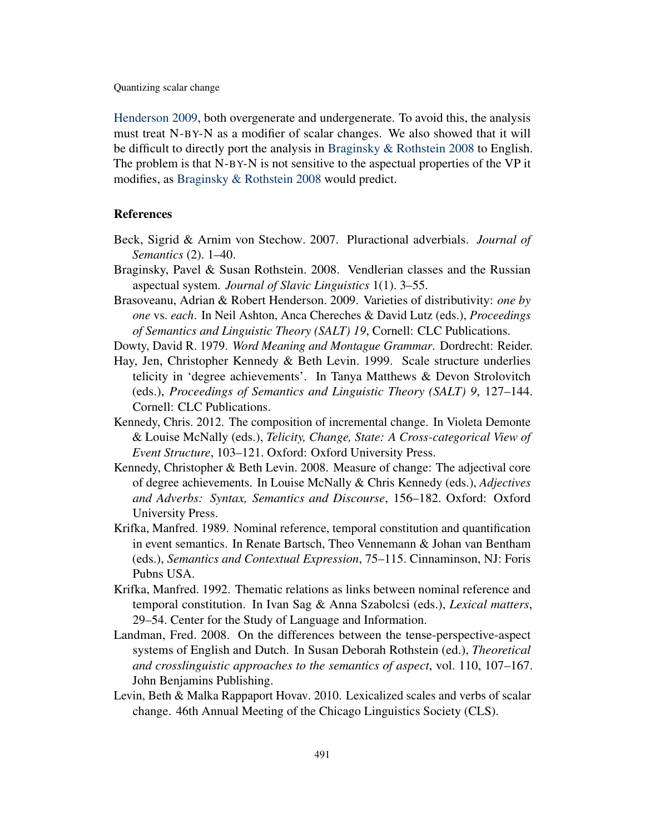[Henderson](#page-18-4) [2009,](#page-18-4) both overgenerate and undergenerate. To avoid this, the analysis must treat N-BY-N as a modifier of scalar changes. We also showed that it will be difficult to directly port the analysis in [Braginsky & Rothstein](#page-18-5) [2008](#page-18-5) to English. The problem is that N-BY-N is not sensitive to the aspectual properties of the VP it modifies, as [Braginsky & Rothstein](#page-18-5) [2008](#page-18-5) would predict.

# References

- <span id="page-18-3"></span>Beck, Sigrid & Arnim von Stechow. 2007. Pluractional adverbials. *Journal of Semantics* (2). 1–40.
- <span id="page-18-5"></span>Braginsky, Pavel & Susan Rothstein. 2008. Vendlerian classes and the Russian aspectual system. *Journal of Slavic Linguistics* 1(1). 3–55.
- <span id="page-18-4"></span>Brasoveanu, Adrian & Robert Henderson. 2009. Varieties of distributivity: *one by one* vs. *each*. In Neil Ashton, Anca Chereches & David Lutz (eds.), *Proceedings of Semantics and Linguistic Theory (SALT) 19*, Cornell: CLC Publications.
- <span id="page-18-10"></span>Dowty, David R. 1979. *Word Meaning and Montague Grammar*. Dordrecht: Reider.
- <span id="page-18-0"></span>Hay, Jen, Christopher Kennedy & Beth Levin. 1999. Scale structure underlies telicity in 'degree achievements'. In Tanya Matthews & Devon Strolovitch (eds.), *Proceedings of Semantics and Linguistic Theory (SALT) 9*, 127–144. Cornell: CLC Publications.
- <span id="page-18-2"></span>Kennedy, Chris. 2012. The composition of incremental change. In Violeta Demonte & Louise McNally (eds.), *Telicity, Change, State: A Cross-categorical View of Event Structure*, 103–121. Oxford: Oxford University Press.
- <span id="page-18-1"></span>Kennedy, Christopher & Beth Levin. 2008. Measure of change: The adjectival core of degree achievements. In Louise McNally & Chris Kennedy (eds.), *Adjectives and Adverbs: Syntax, Semantics and Discourse*, 156–182. Oxford: Oxford University Press.
- <span id="page-18-6"></span>Krifka, Manfred. 1989. Nominal reference, temporal constitution and quantification in event semantics. In Renate Bartsch, Theo Vennemann & Johan van Bentham (eds.), *Semantics and Contextual Expression*, 75–115. Cinnaminson, NJ: Foris Pubns USA.
- <span id="page-18-7"></span>Krifka, Manfred. 1992. Thematic relations as links between nominal reference and temporal constitution. In Ivan Sag & Anna Szabolcsi (eds.), *Lexical matters*, 29–54. Center for the Study of Language and Information.
- <span id="page-18-9"></span>Landman, Fred. 2008. On the differences between the tense-perspective-aspect systems of English and Dutch. In Susan Deborah Rothstein (ed.), *Theoretical and crosslinguistic approaches to the semantics of aspect*, vol. 110, 107–167. John Benjamins Publishing.
- <span id="page-18-8"></span>Levin, Beth & Malka Rappaport Hovav. 2010. Lexicalized scales and verbs of scalar change. 46th Annual Meeting of the Chicago Linguistics Society (CLS).